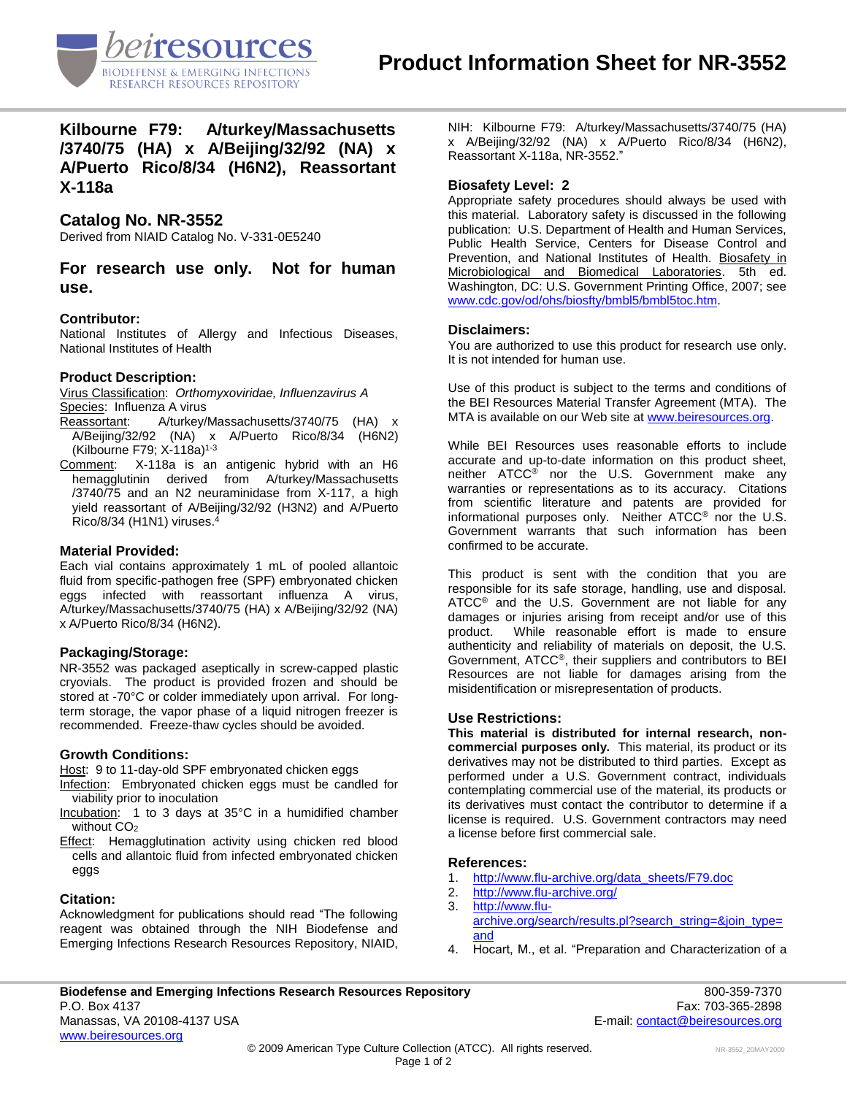

**Kilbourne F79: A/turkey/Massachusetts /3740/75 (HA) x A/Beijing/32/92 (NA) x A/Puerto Rico/8/34 (H6N2), Reassortant X-118a**

# **Catalog No. NR-3552**

Derived from NIAID Catalog No. V-331-0E5240

**For research use only. Not for human use.**

## **Contributor:**

National Institutes of Allergy and Infectious Diseases, National Institutes of Health

## **Product Description:**

Virus Classification: *Orthomyxoviridae, Influenzavirus A* Species: Influenza A virus

- Reassortant: A/turkey/Massachusetts/3740/75 (HA) x A/Beijing/32/92 (NA) x A/Puerto Rico/8/34 (H6N2) (Kilbourne F79; X-118a) 1-3
- Comment: X-118a is an antigenic hybrid with an H6 hemagglutinin derived from A/turkey/Massachusetts /3740/75 and an N2 neuraminidase from X-117, a high yield reassortant of A/Beijing/32/92 (H3N2) and A/Puerto Rico/8/34 (H1N1) viruses. 4

#### **Material Provided:**

Each vial contains approximately 1 mL of pooled allantoic fluid from specific-pathogen free (SPF) embryonated chicken eggs infected with reassortant influenza A virus, A/turkey/Massachusetts/3740/75 (HA) x A/Beijing/32/92 (NA) x A/Puerto Rico/8/34 (H6N2).

## **Packaging/Storage:**

NR-3552 was packaged aseptically in screw-capped plastic cryovials. The product is provided frozen and should be stored at -70°C or colder immediately upon arrival. For longterm storage, the vapor phase of a liquid nitrogen freezer is recommended. Freeze-thaw cycles should be avoided.

#### **Growth Conditions:**

Host: 9 to 11-day-old SPF embryonated chicken eggs

- Infection: Embryonated chicken eggs must be candled for viability prior to inoculation
- Incubation: 1 to 3 days at 35°C in a humidified chamber without CO<sub>2</sub>
- Effect: Hemagglutination activity using chicken red blood cells and allantoic fluid from infected embryonated chicken eggs

#### **Citation:**

Acknowledgment for publications should read "The following reagent was obtained through the NIH Biodefense and Emerging Infections Research Resources Repository, NIAID, NIH: Kilbourne F79: A/turkey/Massachusetts/3740/75 (HA) x A/Beijing/32/92 (NA) x A/Puerto Rico/8/34 (H6N2), Reassortant X-118a, NR-3552."

## **Biosafety Level: 2**

Appropriate safety procedures should always be used with this material. Laboratory safety is discussed in the following publication: U.S. Department of Health and Human Services, Public Health Service, Centers for Disease Control and Prevention, and National Institutes of Health. Biosafety in Microbiological and Biomedical Laboratories. 5th ed. Washington, DC: U.S. Government Printing Office, 2007; see [www.cdc.gov/od/ohs/biosfty/bmbl5/bmbl5toc.htm.](http://www.cdc.gov/od/ohs/biosfty/bmbl5/bmbl5toc.htm)

#### **Disclaimers:**

You are authorized to use this product for research use only. It is not intended for human use.

Use of this product is subject to the terms and conditions of the BEI Resources Material Transfer Agreement (MTA). The MTA is available on our Web site at [www.beiresources.org.](http://www.beiresources.org/)

While BEI Resources uses reasonable efforts to include accurate and up-to-date information on this product sheet, neither ATCC® nor the U.S. Government make any warranties or representations as to its accuracy. Citations from scientific literature and patents are provided for informational purposes only. Neither ATCC® nor the U.S. Government warrants that such information has been confirmed to be accurate.

This product is sent with the condition that you are responsible for its safe storage, handling, use and disposal. ATCC® and the U.S. Government are not liable for any damages or injuries arising from receipt and/or use of this product. While reasonable effort is made to ensure authenticity and reliability of materials on deposit, the U.S. Government, ATCC®, their suppliers and contributors to BEI Resources are not liable for damages arising from the misidentification or misrepresentation of products.

#### **Use Restrictions:**

**This material is distributed for internal research, noncommercial purposes only.** This material, its product or its derivatives may not be distributed to third parties. Except as performed under a U.S. Government contract, individuals contemplating commercial use of the material, its products or its derivatives must contact the contributor to determine if a license is required. U.S. Government contractors may need a license before first commercial sale.

#### **References:**

- 1. [http://www.flu-archive.org/data\\_sheets/F79.doc](http://www.flu-archive.org/data_sheets/F79.doc)<br>2. http://www.flu-archive.org/
- <http://www.flu-archive.org/>
- 3. [http://www.flu](http://www.flu-archive.org/search/results.pl?search_string=&join_type=and)[archive.org/search/results.pl?search\\_string=&join\\_type=](http://www.flu-archive.org/search/results.pl?search_string=&join_type=and) [and](http://www.flu-archive.org/search/results.pl?search_string=&join_type=and)
- 4. Hocart, M., et al. "Preparation and Characterization of a